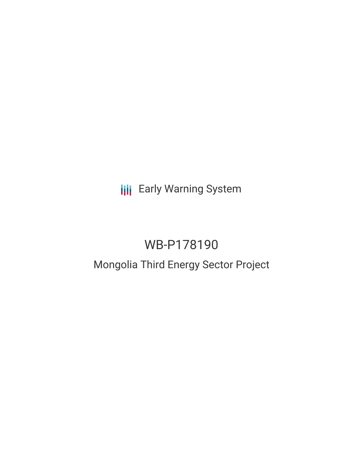**III** Early Warning System

# WB-P178190

# Mongolia Third Energy Sector Project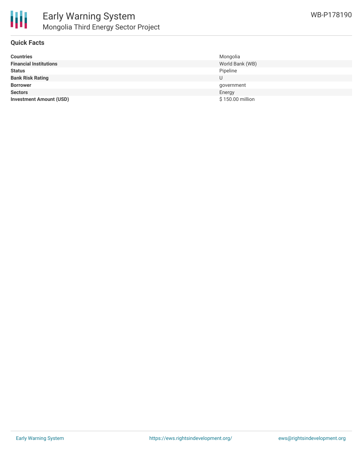

### **Quick Facts**

| <b>Countries</b>               | Mongolia         |
|--------------------------------|------------------|
| <b>Financial Institutions</b>  | World Bank (WB)  |
| <b>Status</b>                  | Pipeline         |
| <b>Bank Risk Rating</b>        | U                |
| <b>Borrower</b>                | government       |
| <b>Sectors</b>                 | Energy           |
| <b>Investment Amount (USD)</b> | \$150.00 million |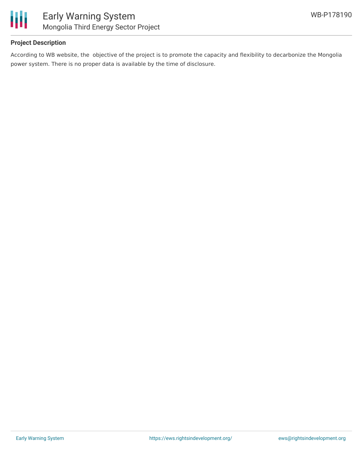

# **Project Description**

According to WB website, the objective of the project is to promote the capacity and flexibility to decarbonize the Mongolia power system. There is no proper data is available by the time of disclosure.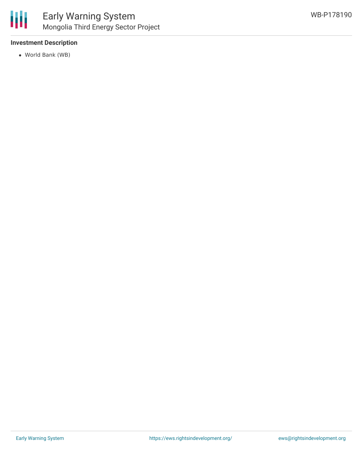

# **Investment Description**

World Bank (WB)